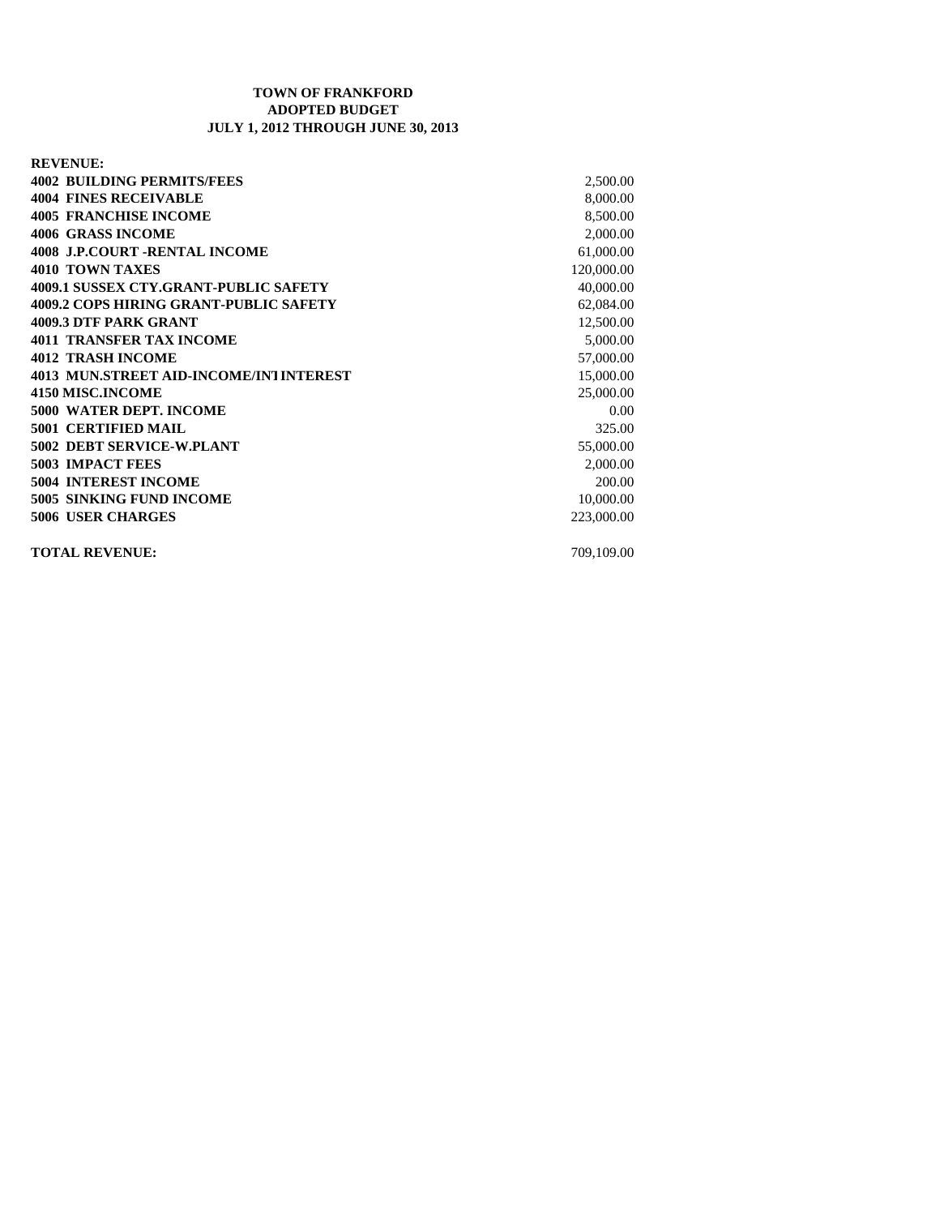## **TOWN OF FRANKFORD ADOPTED BUDGET JULY 1, 2012 THROUGH JUNE 30, 2013**

**REVENUE: 4002 BUILDING PERMITS/FEES** 2,500.00 **4004 FINES RECEIVABLE** 8,000.00 **4005 FRANCHISE INCOME** 8,500.00 **4006 GRASS INCOME** 2,000.00 **4008 J.P.COURT -RENTAL INCOME** 61,000.00 **4010 TOWN TAXES** 120,000.00 **4009.1 SUSSEX CTY.GRANT-PUBLIC SAFETY** 40,000.00 **4009.2 COPS HIRING GRANT-PUBLIC SAFETY** 62,084.00 **4009.3 DTF PARK GRANT** 12,500.00 **4011 TRANSFER TAX INCOME** 5,000.00 **4012 TRASH INCOME** 57,000.00 **4013 MUN.STREET AID-INCOME/INTINTEREST 15,000.00** 15,000.00 **4150 MISC.INCOME** 25,000.00 **5000 WATER DEPT. INCOME** 0.00 **5001 CERTIFIED MAIL** 325.00 **5002 DEBT SERVICE-W.PLANT** 55,000.00 **5003 IMPACT FEES** 2,000.00 **5004 INTEREST INCOME** 200.00 **5005 SINKING FUND INCOME** 10,000.00 **5006 USER CHARGES** 223,000.00

**TOTAL REVENUE:** 709,109.00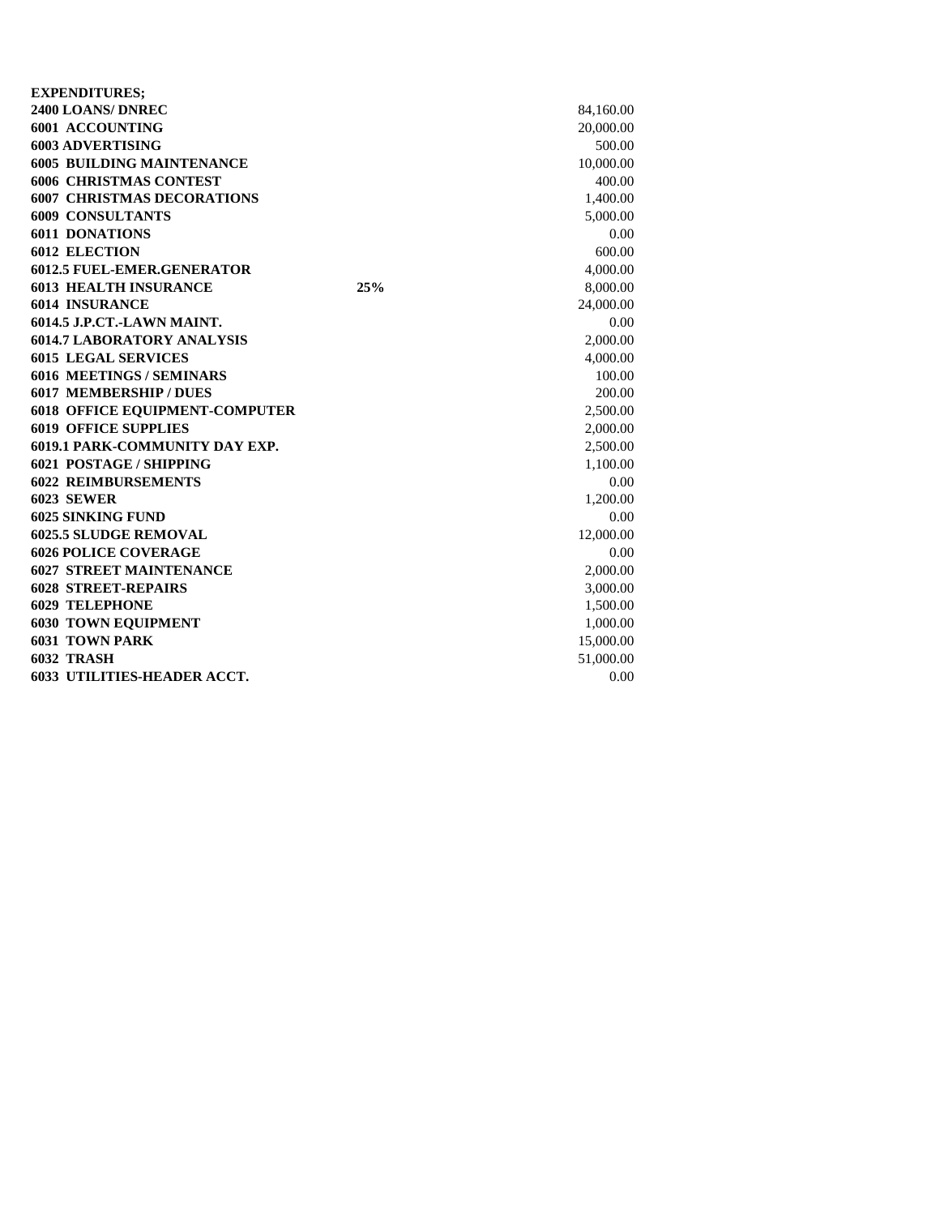| <b>EXPENDITURES;</b>                  |     |           |
|---------------------------------------|-----|-----------|
| 2400 LOANS/DNREC                      |     | 84,160.00 |
| 6001 ACCOUNTING                       |     | 20,000.00 |
| <b>6003 ADVERTISING</b>               |     | 500.00    |
| <b>6005 BUILDING MAINTENANCE</b>      |     | 10,000.00 |
| <b>6006 CHRISTMAS CONTEST</b>         |     | 400.00    |
| <b>6007 CHRISTMAS DECORATIONS</b>     |     | 1,400.00  |
| <b>6009 CONSULTANTS</b>               |     | 5,000.00  |
| <b>6011 DONATIONS</b>                 |     | 0.00      |
| <b>6012 ELECTION</b>                  |     | 600.00    |
| <b>6012.5 FUEL-EMER.GENERATOR</b>     |     | 4,000.00  |
| <b>6013 HEALTH INSURANCE</b>          | 25% | 8,000.00  |
| <b>6014 INSURANCE</b>                 |     | 24,000.00 |
| 6014.5 J.P.CT.-LAWN MAINT.            |     | 0.00      |
| <b>6014.7 LABORATORY ANALYSIS</b>     |     | 2,000.00  |
| <b>6015 LEGAL SERVICES</b>            |     | 4,000.00  |
| <b>6016 MEETINGS / SEMINARS</b>       |     | 100.00    |
| <b>6017 MEMBERSHIP / DUES</b>         |     | 200.00    |
| <b>6018 OFFICE EQUIPMENT-COMPUTER</b> |     | 2,500.00  |
| <b>6019 OFFICE SUPPLIES</b>           |     | 2,000.00  |
| <b>6019.1 PARK-COMMUNITY DAY EXP.</b> |     | 2,500.00  |
| <b>6021 POSTAGE / SHIPPING</b>        |     | 1,100.00  |
| <b>6022 REIMBURSEMENTS</b>            |     | 0.00      |
| <b>6023 SEWER</b>                     |     | 1,200.00  |
| <b>6025 SINKING FUND</b>              |     | 0.00      |
| <b>6025.5 SLUDGE REMOVAL</b>          |     | 12,000.00 |
| <b>6026 POLICE COVERAGE</b>           |     | 0.00      |
| <b>6027 STREET MAINTENANCE</b>        |     | 2,000.00  |
| <b>6028 STREET-REPAIRS</b>            |     | 3,000.00  |
| <b>6029 TELEPHONE</b>                 |     | 1,500.00  |
| <b>6030 TOWN EQUIPMENT</b>            |     | 1,000.00  |
| <b>6031 TOWN PARK</b>                 |     | 15,000.00 |
| 6032 TRASH                            |     | 51,000.00 |
| <b>6033 UTILITIES-HEADER ACCT.</b>    |     | 0.00      |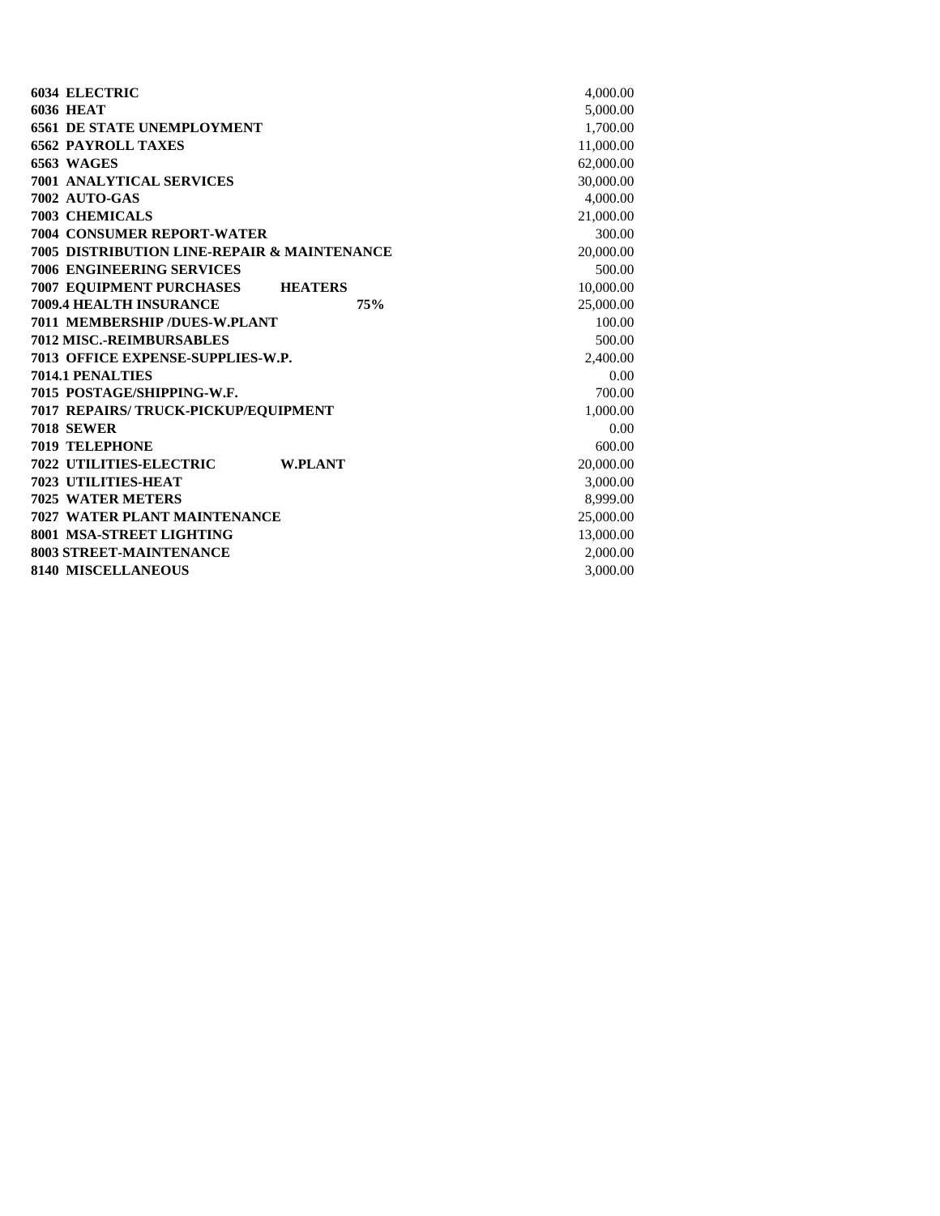| <b>6034 ELECTRIC</b>                             | 4,000.00  |
|--------------------------------------------------|-----------|
| <b>6036 HEAT</b>                                 | 5,000.00  |
| <b>6561 DE STATE UNEMPLOYMENT</b>                | 1,700.00  |
| <b>6562 PAYROLL TAXES</b>                        | 11,000.00 |
| <b>6563 WAGES</b>                                | 62,000.00 |
| <b>7001 ANALYTICAL SERVICES</b>                  | 30,000.00 |
| 7002 AUTO-GAS                                    | 4,000.00  |
| <b>7003 CHEMICALS</b>                            | 21,000.00 |
| <b>7004 CONSUMER REPORT-WATER</b>                | 300.00    |
| 7005 DISTRIBUTION LINE-REPAIR & MAINTENANCE      | 20,000.00 |
| <b>7006 ENGINEERING SERVICES</b>                 | 500.00    |
| <b>7007 EQUIPMENT PURCHASES HEATERS</b>          | 10,000.00 |
| 7009.4 HEALTH INSURANCE<br>75%                   | 25,000.00 |
| 7011 MEMBERSHIP /DUES-W.PLANT                    | 100.00    |
| <b>7012 MISC.-REIMBURSABLES</b>                  | 500.00    |
| 7013 OFFICE EXPENSE-SUPPLIES-W.P.                | 2,400.00  |
| <b>7014.1 PENALTIES</b>                          | 0.00      |
| 7015 POSTAGE/SHIPPING-W.F.                       | 700.00    |
| 7017 REPAIRS/ TRUCK-PICKUP/EQUIPMENT             | 1,000.00  |
| <b>7018 SEWER</b>                                | 0.00      |
| <b>7019 TELEPHONE</b>                            | 600.00    |
| <b>7022 UTILITIES-ELECTRIC</b><br><b>W.PLANT</b> | 20,000.00 |
| <b>7023 UTILITIES-HEAT</b>                       | 3,000.00  |
| <b>7025 WATER METERS</b>                         | 8.999.00  |
| <b>7027 WATER PLANT MAINTENANCE</b>              | 25,000.00 |
| 8001 MSA-STREET LIGHTING                         | 13,000.00 |
| 8003 STREET-MAINTENANCE                          | 2,000.00  |
| <b>8140 MISCELLANEOUS</b>                        | 3,000.00  |